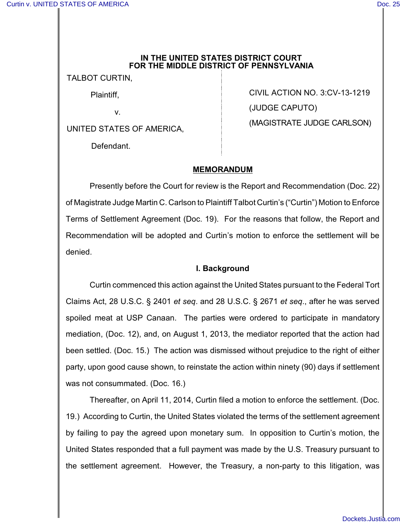#### **IN THE UNITED STATES DISTRICT COURT FOR THE MIDDLE DISTRICT OF PENNSYLVANIA**

TALBOT CURTIN,

Plaintiff,

v.

UNITED STATES OF AMERICA,

Defendant.

CIVIL ACTION NO. 3:CV-13-1219 (JUDGE CAPUTO) (MAGISTRATE JUDGE CARLSON)

# **MEMORANDUM**

Presently before the Court for review is the Report and Recommendation (Doc. 22) of Magistrate Judge Martin C. Carlson to Plaintiff Talbot Curtin's ("Curtin") Motion to Enforce Terms of Settlement Agreement (Doc. 19). For the reasons that follow, the Report and Recommendation will be adopted and Curtin's motion to enforce the settlement will be denied.

## **I. Background**

Curtin commenced this action against the United States pursuant to the Federal Tort Claims Act, 28 U.S.C. § 2401 *et seq*. and 28 U.S.C. § 2671 *et seq*., after he was served spoiled meat at USP Canaan. The parties were ordered to participate in mandatory mediation, (Doc. 12), and, on August 1, 2013, the mediator reported that the action had been settled. (Doc. 15.) The action was dismissed without prejudice to the right of either party, upon good cause shown, to reinstate the action within ninety (90) days if settlement was not consummated. (Doc. 16.)

Thereafter, on April 11, 2014, Curtin filed a motion to enforce the settlement. (Doc. 19.) According to Curtin, the United States violated the terms of the settlement agreement by failing to pay the agreed upon monetary sum. In opposition to Curtin's motion, the United States responded that a full payment was made by the U.S. Treasury pursuant to the settlement agreement. However, the Treasury, a non-party to this litigation, was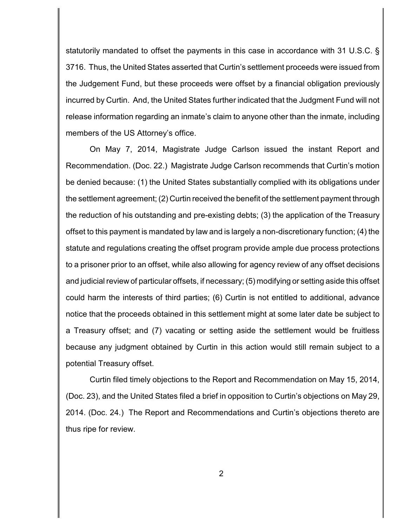statutorily mandated to offset the payments in this case in accordance with 31 U.S.C. § 3716. Thus, the United States asserted that Curtin's settlement proceeds were issued from the Judgement Fund, but these proceeds were offset by a financial obligation previously incurred by Curtin. And, the United States further indicated that the Judgment Fund will not release information regarding an inmate's claim to anyone other than the inmate, including members of the US Attorney's office.

On May 7, 2014, Magistrate Judge Carlson issued the instant Report and Recommendation. (Doc. 22.) Magistrate Judge Carlson recommends that Curtin's motion be denied because: (1) the United States substantially complied with its obligations under the settlement agreement; (2) Curtin received the benefit of the settlement payment through the reduction of his outstanding and pre-existing debts; (3) the application of the Treasury offset to this payment is mandated by law and is largely a non-discretionary function; (4) the statute and regulations creating the offset program provide ample due process protections to a prisoner prior to an offset, while also allowing for agency review of any offset decisions and judicial review of particular offsets, if necessary; (5) modifying or setting aside this offset could harm the interests of third parties; (6) Curtin is not entitled to additional, advance notice that the proceeds obtained in this settlement might at some later date be subject to a Treasury offset; and (7) vacating or setting aside the settlement would be fruitless because any judgment obtained by Curtin in this action would still remain subject to a potential Treasury offset.

Curtin filed timely objections to the Report and Recommendation on May 15, 2014, (Doc. 23), and the United States filed a brief in opposition to Curtin's objections on May 29, 2014. (Doc. 24.) The Report and Recommendations and Curtin's objections thereto are thus ripe for review.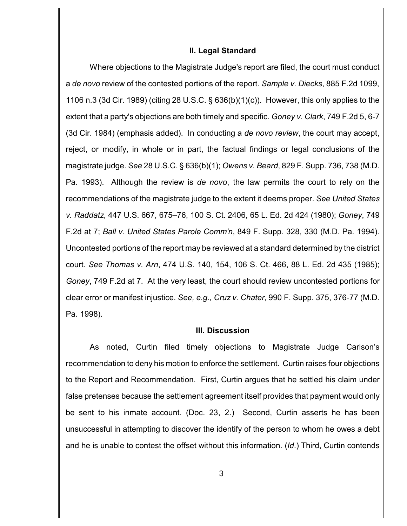#### **II. Legal Standard**

Where objections to the Magistrate Judge's report are filed, the court must conduct a *de novo* review of the contested portions of the report. *Sample v. Diecks*, 885 F.2d 1099, 1106 n.3 (3d Cir. 1989) (citing 28 U.S.C. § 636(b)(1)(c)). However, this only applies to the extent that a party's objections are both timely and specific. *Goney v. Clark*, 749 F.2d 5, 6-7 (3d Cir. 1984) (emphasis added). In conducting a *de novo review*, the court may accept, reject, or modify, in whole or in part, the factual findings or legal conclusions of the magistrate judge. *See* 28 U.S.C. § 636(b)(1); *Owens v. Beard*, 829 F. Supp. 736, 738 (M.D. Pa. 1993). Although the review is *de novo*, the law permits the court to rely on the recommendations of the magistrate judge to the extent it deems proper. *See United States v. Raddatz*, 447 U.S. 667, 675–76, 100 S. Ct. 2406, 65 L. Ed. 2d 424 (1980); *Goney*, 749 F.2d at 7; *Ball v. United States Parole Comm'n*, 849 F. Supp. 328, 330 (M.D. Pa. 1994). Uncontested portions of the report may be reviewed at a standard determined by the district court. *See Thomas v. Arn*, 474 U.S. 140, 154, 106 S. Ct. 466, 88 L. Ed. 2d 435 (1985); *Goney*, 749 F.2d at 7. At the very least, the court should review uncontested portions for clear error or manifest injustice. *See, e.g., Cruz v. Chater*, 990 F. Supp. 375, 376-77 (M.D. Pa. 1998).

## **III. Discussion**

As noted, Curtin filed timely objections to Magistrate Judge Carlson's recommendation to deny his motion to enforce the settlement. Curtin raises four objections to the Report and Recommendation. First, Curtin argues that he settled his claim under false pretenses because the settlement agreement itself provides that payment would only be sent to his inmate account. (Doc. 23, 2.) Second, Curtin asserts he has been unsuccessful in attempting to discover the identify of the person to whom he owes a debt and he is unable to contest the offset without this information. (*Id*.) Third, Curtin contends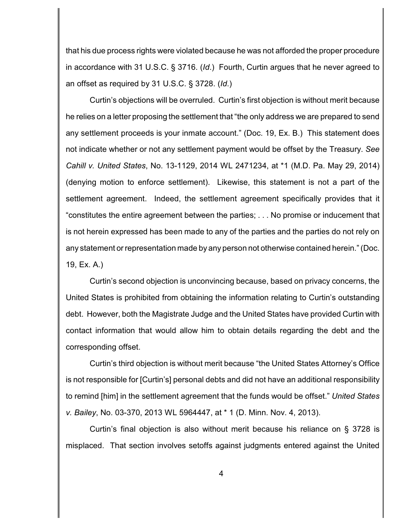that his due process rights were violated because he was not afforded the proper procedure in accordance with 31 U.S.C. § 3716. (*Id*.) Fourth, Curtin argues that he never agreed to an offset as required by 31 U.S.C. § 3728. (*Id*.)

Curtin's objections will be overruled. Curtin's first objection is without merit because he relies on a letter proposing the settlement that "the only address we are prepared to send any settlement proceeds is your inmate account." (Doc. 19, Ex. B.) This statement does not indicate whether or not any settlement payment would be offset by the Treasury. *See Cahill v. United States*, No. 13-1129, 2014 WL 2471234, at \*1 (M.D. Pa. May 29, 2014) (denying motion to enforce settlement). Likewise, this statement is not a part of the settlement agreement. Indeed, the settlement agreement specifically provides that it "constitutes the entire agreement between the parties; . . . No promise or inducement that is not herein expressed has been made to any of the parties and the parties do not rely on any statement or representation made by any person not otherwise contained herein." (Doc. 19, Ex. A.)

Curtin's second objection is unconvincing because, based on privacy concerns, the United States is prohibited from obtaining the information relating to Curtin's outstanding debt. However, both the Magistrate Judge and the United States have provided Curtin with contact information that would allow him to obtain details regarding the debt and the corresponding offset.

Curtin's third objection is without merit because "the United States Attorney's Office is not responsible for [Curtin's] personal debts and did not have an additional responsibility to remind [him] in the settlement agreement that the funds would be offset." *United States v. Bailey*, No. 03-370, 2013 WL 5964447, at \* 1 (D. Minn. Nov. 4, 2013).

Curtin's final objection is also without merit because his reliance on § 3728 is misplaced. That section involves setoffs against judgments entered against the United